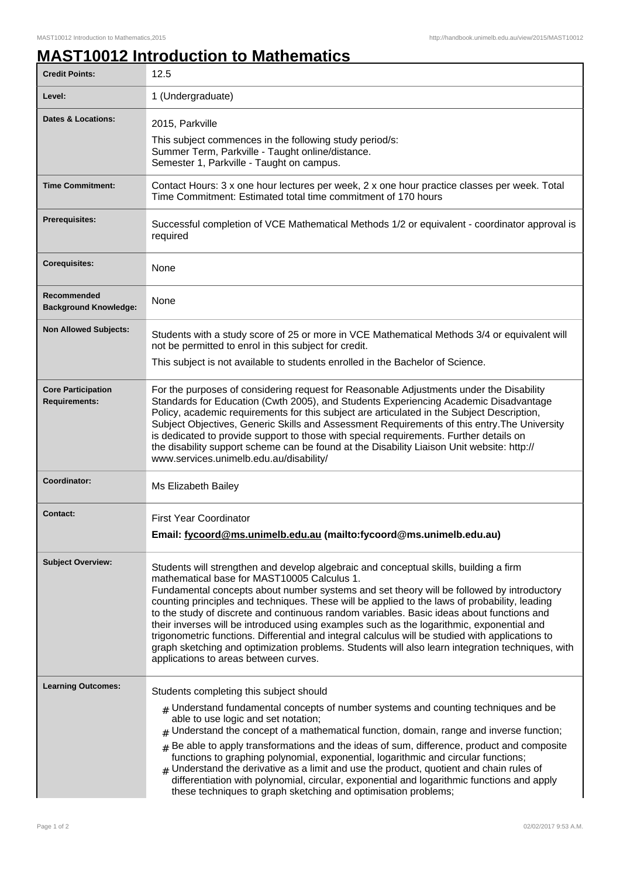## **MAST10012 Introduction to Mathematics**

| <b>Credit Points:</b>                             | 12.5                                                                                                                                                                                                                                                                                                                                                                                                                                                                                                                                                                                                                                                                                                                                                                          |
|---------------------------------------------------|-------------------------------------------------------------------------------------------------------------------------------------------------------------------------------------------------------------------------------------------------------------------------------------------------------------------------------------------------------------------------------------------------------------------------------------------------------------------------------------------------------------------------------------------------------------------------------------------------------------------------------------------------------------------------------------------------------------------------------------------------------------------------------|
| Level:                                            | 1 (Undergraduate)                                                                                                                                                                                                                                                                                                                                                                                                                                                                                                                                                                                                                                                                                                                                                             |
| <b>Dates &amp; Locations:</b>                     | 2015, Parkville<br>This subject commences in the following study period/s:<br>Summer Term, Parkville - Taught online/distance.<br>Semester 1, Parkville - Taught on campus.                                                                                                                                                                                                                                                                                                                                                                                                                                                                                                                                                                                                   |
| <b>Time Commitment:</b>                           | Contact Hours: 3 x one hour lectures per week, 2 x one hour practice classes per week. Total<br>Time Commitment: Estimated total time commitment of 170 hours                                                                                                                                                                                                                                                                                                                                                                                                                                                                                                                                                                                                                 |
| <b>Prerequisites:</b>                             | Successful completion of VCE Mathematical Methods 1/2 or equivalent - coordinator approval is<br>required                                                                                                                                                                                                                                                                                                                                                                                                                                                                                                                                                                                                                                                                     |
| <b>Corequisites:</b>                              | None                                                                                                                                                                                                                                                                                                                                                                                                                                                                                                                                                                                                                                                                                                                                                                          |
| Recommended<br><b>Background Knowledge:</b>       | None                                                                                                                                                                                                                                                                                                                                                                                                                                                                                                                                                                                                                                                                                                                                                                          |
| <b>Non Allowed Subjects:</b>                      | Students with a study score of 25 or more in VCE Mathematical Methods 3/4 or equivalent will<br>not be permitted to enrol in this subject for credit.                                                                                                                                                                                                                                                                                                                                                                                                                                                                                                                                                                                                                         |
|                                                   | This subject is not available to students enrolled in the Bachelor of Science.                                                                                                                                                                                                                                                                                                                                                                                                                                                                                                                                                                                                                                                                                                |
| <b>Core Participation</b><br><b>Requirements:</b> | For the purposes of considering request for Reasonable Adjustments under the Disability<br>Standards for Education (Cwth 2005), and Students Experiencing Academic Disadvantage<br>Policy, academic requirements for this subject are articulated in the Subject Description,<br>Subject Objectives, Generic Skills and Assessment Requirements of this entry. The University<br>is dedicated to provide support to those with special requirements. Further details on<br>the disability support scheme can be found at the Disability Liaison Unit website: http://<br>www.services.unimelb.edu.au/disability/                                                                                                                                                              |
| Coordinator:                                      | Ms Elizabeth Bailey                                                                                                                                                                                                                                                                                                                                                                                                                                                                                                                                                                                                                                                                                                                                                           |
| <b>Contact:</b>                                   | <b>First Year Coordinator</b><br>Email: fycoord@ms.unimelb.edu.au (mailto:fycoord@ms.unimelb.edu.au)                                                                                                                                                                                                                                                                                                                                                                                                                                                                                                                                                                                                                                                                          |
| <b>Subject Overview:</b>                          | Students will strengthen and develop algebraic and conceptual skills, building a firm<br>mathematical base for MAST10005 Calculus 1.<br>Fundamental concepts about number systems and set theory will be followed by introductory<br>counting principles and techniques. These will be applied to the laws of probability, leading<br>to the study of discrete and continuous random variables. Basic ideas about functions and<br>their inverses will be introduced using examples such as the logarithmic, exponential and<br>trigonometric functions. Differential and integral calculus will be studied with applications to<br>graph sketching and optimization problems. Students will also learn integration techniques, with<br>applications to areas between curves. |
| <b>Learning Outcomes:</b>                         | Students completing this subject should<br>$_{\#}$ Understand fundamental concepts of number systems and counting techniques and be                                                                                                                                                                                                                                                                                                                                                                                                                                                                                                                                                                                                                                           |
|                                                   | able to use logic and set notation;<br>$#$ Understand the concept of a mathematical function, domain, range and inverse function;                                                                                                                                                                                                                                                                                                                                                                                                                                                                                                                                                                                                                                             |
|                                                   | Be able to apply transformations and the ideas of sum, difference, product and composite<br>#<br>functions to graphing polynomial, exponential, logarithmic and circular functions;<br>$#$ Understand the derivative as a limit and use the product, quotient and chain rules of<br>differentiation with polynomial, circular, exponential and logarithmic functions and apply<br>these techniques to graph sketching and optimisation problems;                                                                                                                                                                                                                                                                                                                              |